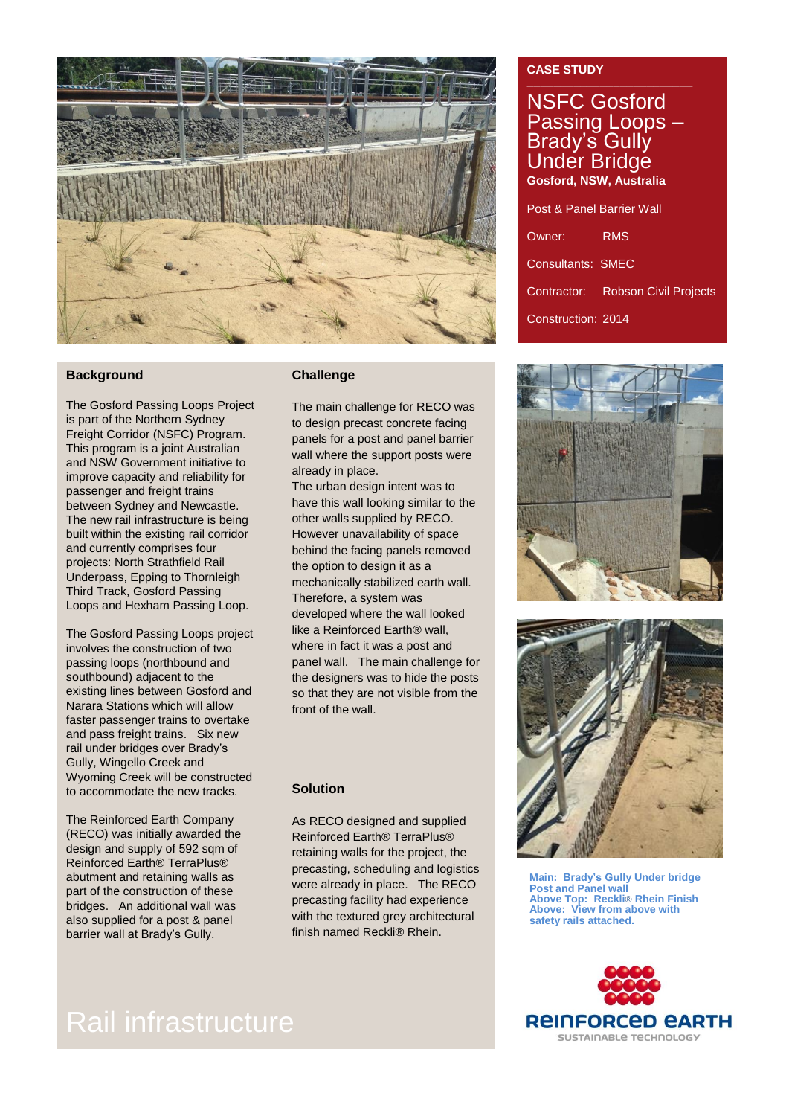

### **Background**

The Gosford Passing Loops Project is part of the Northern Sydney Freight Corridor (NSFC) Program. This program is a joint Australian and NSW Government initiative to improve capacity and reliability for passenger and freight trains between Sydney and Newcastle. The new rail infrastructure is being built within the existing rail corridor and currently comprises four projects: North Strathfield Rail Underpass, Epping to Thornleigh Third Track, Gosford Passing Loops and Hexham Passing Loop.

The Gosford Passing Loops project involves the construction of two passing loops (northbound and southbound) adjacent to the existing lines between Gosford and Narara Stations which will allow faster passenger trains to overtake and pass freight trains. Six new rail under bridges over Brady's Gully, Wingello Creek and Wyoming Creek will be constructed to accommodate the new tracks.

The Reinforced Earth Company (RECO) was initially awarded the design and supply of 592 sqm of Reinforced Earth® TerraPlus® abutment and retaining walls as part of the construction of these bridges. An additional wall was also supplied for a post & panel barrier wall at Brady's Gully.

#### **Challenge**

The main challenge for RECO was to design precast concrete facing panels for a post and panel barrier wall where the support posts were already in place.

The urban design intent was to have this wall looking similar to the other walls supplied by RECO. However unavailability of space behind the facing panels removed the option to design it as a mechanically stabilized earth wall. Therefore, a system was developed where the wall looked like a Reinforced Earth® wall, where in fact it was a post and panel wall. The main challenge for the designers was to hide the posts so that they are not visible from the front of the wall.

#### **Solution**

As RECO designed and supplied Reinforced Earth® TerraPlus® retaining walls for the project, the precasting, scheduling and logistics were already in place. The RECO precasting facility had experience with the textured grey architectural finish named Reckli® Rhein.

# **CASE STUDY**

NSFC Gosford Passing Loops – Brady's Gully Under Bridge **Gosford, NSW, Australia** Post & Panel Barrier Wall

Owner: RMS Consultants: SMEC Contractor: Robson Civil Projects Construction: 2014





**Main: Brady's Gully Under bridge Post and Panel wall Above Top: Reckli**® **Rhein Finish Above: View from above with safety rails attached.**



# Rail infrastructure